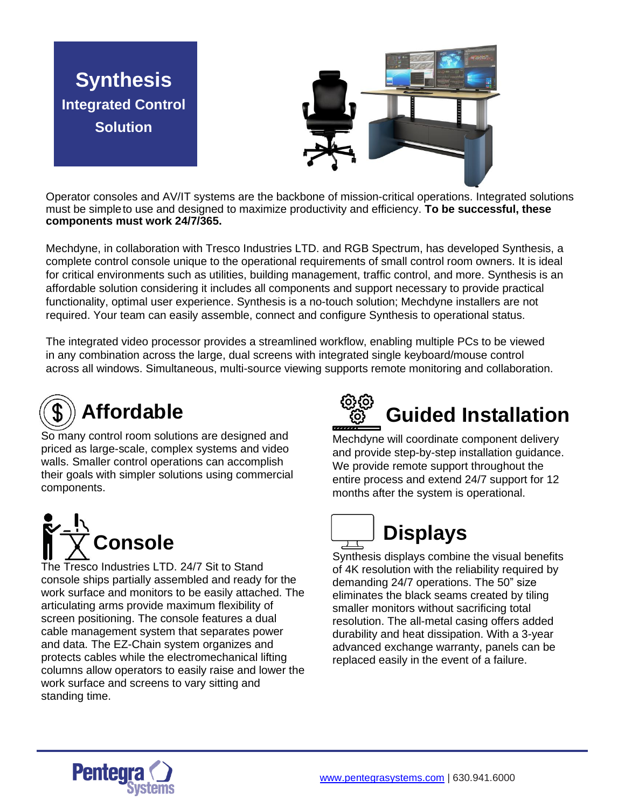**Synthesis Integrated Control Solution**



Operator consoles and AV/IT systems are the backbone of mission-critical operations. Integrated solutions must be simpleto use and designed to maximize productivity and efficiency. **To be successful, these components must work 24/7/365.** 

Mechdyne, in collaboration with Tresco Industries LTD. and RGB Spectrum, has developed Synthesis, a complete control console unique to the operational requirements of small control room owners. It is ideal for critical environments such as utilities, building management, traffic control, and more. Synthesis is an affordable solution considering it includes all components and support necessary to provide practical functionality, optimal user experience. Synthesis is a no-touch solution; Mechdyne installers are not required. Your team can easily assemble, connect and configure Synthesis to operational status.

The integrated video processor provides a streamlined workflow, enabling multiple PCs to be viewed in any combination across the large, dual screens with integrated single keyboard/mouse control across all windows. Simultaneous, multi-source viewing supports remote monitoring and collaboration.



So many control room solutions are designed and priced as large-scale, complex systems and video walls. Smaller control operations can accomplish their goals with simpler solutions using commercial components.



The Tresco Industries LTD. 24/7 Sit to Stand console ships partially assembled and ready for the work surface and monitors to be easily attached. The articulating arms provide maximum flexibility of screen positioning. The console features a dual cable management system that separates power and data. The EZ-Chain system organizes and protects cables while the electromechanical lifting columns allow operators to easily raise and lower the work surface and screens to vary sitting and standing time.



Mechdyne will coordinate component delivery and provide step-by-step installation guidance. We provide remote support throughout the entire process and extend 24/7 support for 12 months after the system is operational.



Synthesis displays combine the visual benefits of 4K resolution with the reliability required by demanding 24/7 operations. The 50" size eliminates the black seams created by tiling smaller monitors without sacrificing total resolution. The all-metal casing offers added durability and heat dissipation. With a 3-year advanced exchange warranty, panels can be replaced easily in the event of a failure.